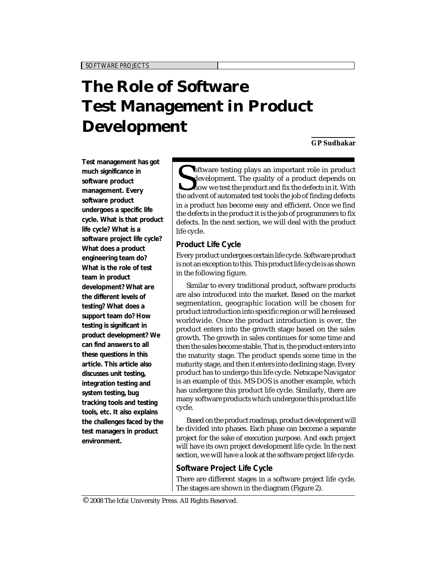# **The Role of Software Test Management in Product Development**

**GP Sudhakar**

*SOFTWARE PROJECTS*

**Test management has got much significance in software product management. Every software product undergoes a specific life cycle. What is that product life cycle? What is a software project life cycle? What does a product engineering team do? What is the role of test team in product development? What are the different levels of testing? What does a support team do? How testing is significant in product development? We can find answers to all these questions in this article. This article also discusses unit testing, integration testing and system testing, bug tracking tools and testing tools, etc. It also explains the challenges faced by the test managers in product environment.**

Software testing plays an important role in product depends on how we test the product and fix the defects in it. With the advent of automated test tools the job of finding defects **V** oftware testing plays an important role in product development. The quality of a product depends on how we test the product and fix the defects in it. With in a product has become easy and efficient. Once we find the defects in the product it is the job of programmers to fix defects. In the next section, we will deal with the product life cycle.

## **Product Life Cycle**

Every product undergoes certain life cycle. Software product is not an exception to this. This product life cycle is as shown in the following figure.

Similar to every traditional product, software products are also introduced into the market. Based on the market segmentation, geographic location will be chosen for product introduction into specific region or will be released worldwide. Once the product introduction is over, the product enters into the growth stage based on the sales growth. The growth in sales continues for some time and then the sales become stable. That is, the product enters into the maturity stage. The product spends some time in the maturity stage, and then it enters into declining stage. Every product has to undergo this life cycle. Netscape Navigator is an example of this. MS-DOS is another example, which has undergone this product life cycle. Similarly, there are many software products which undergone this product life cycle.

Based on the product roadmap, product development will be divided into phases. Each phase can become a separate project for the sake of execution purpose. And each project will have its own project development life cycle. In the next section, we will have a look at the software project life cycle.

## **Software Project Life Cycle**

There are different stages in a software project life cycle. The stages are shown in the diagram (Figure 2).

 $^\copyright$  2008 The Icfai University Press. All Rights Reserved.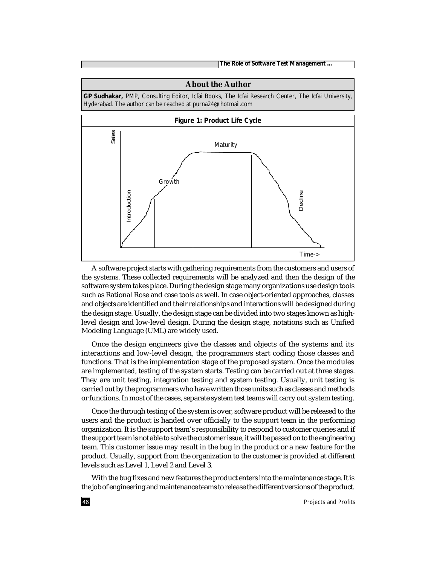*The Role of Software Test Management ...*

# **About the Author GP Sudhakar,** PMP, Consulting Editor, Icfai Books, The Icfai Research Center, The Icfai University, Hyderabad. The author can be reached at purna24@hotmail.com **Figure 1: Product Life Cycle** Decline<br>Time-> Maturity Growth Introduction Sales

A software project starts with gathering requirements from the customers and users of the systems. These collected requirements will be analyzed and then the design of the software system takes place. During the design stage many organizations use design tools such as Rational Rose and case tools as well. In case object-oriented approaches, classes and objects are identified and their relationships and interactions will be designed during the design stage. Usually, the design stage can be divided into two stages known as highlevel design and low-level design. During the design stage, notations such as Unified Modeling Language (UML) are widely used.

Once the design engineers give the classes and objects of the systems and its interactions and low-level design, the programmers start coding those classes and functions. That is the implementation stage of the proposed system. Once the modules are implemented, testing of the system starts. Testing can be carried out at three stages. They are unit testing, integration testing and system testing. Usually, unit testing is carried out by the programmers who have written those units such as classes and methods or functions. In most of the cases, separate system test teams will carry out system testing.

Once the through testing of the system is over, software product will be released to the users and the product is handed over officially to the support team in the performing organization. It is the support team's responsibility to respond to customer queries and if the support team is not able to solve the customer issue, it will be passed on to the engineering team. This customer issue may result in the bug in the product or a new feature for the product. Usually, support from the organization to the customer is provided at different levels such as Level 1, Level 2 and Level 3.

With the bug fixes and new features the product enters into the maintenance stage. It is the job of engineering and maintenance teams to release the different versions of the product.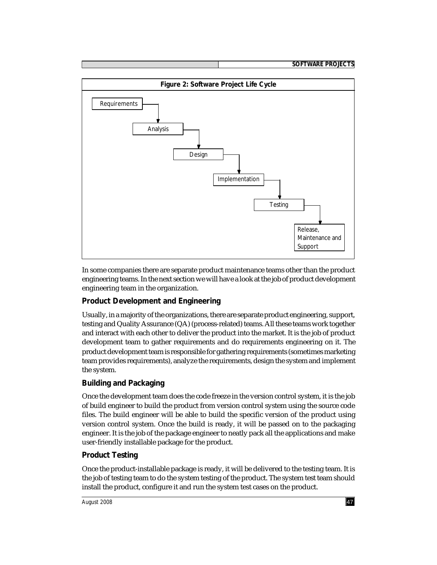

In some companies there are separate product maintenance teams other than the product engineering teams. In the next section we will have a look at the job of product development engineering team in the organization.

# **Product Development and Engineering**

Usually, in a majority of the organizations, there are separate product engineering, support, testing and Quality Assurance (QA) (process-related) teams. All these teams work together and interact with each other to deliver the product into the market. It is the job of product development team to gather requirements and do requirements engineering on it. The product development team is responsible for gathering requirements (sometimes marketing team provides requirements), analyze the requirements, design the system and implement the system.

# **Building and Packaging**

Once the development team does the code freeze in the version control system, it is the job of build engineer to build the product from version control system using the source code files. The build engineer will be able to build the specific version of the product using version control system. Once the build is ready, it will be passed on to the packaging engineer. It is the job of the package engineer to neatly pack all the applications and make user-friendly installable package for the product.

## **Product Testing**

Once the product-installable package is ready, it will be delivered to the testing team. It is the job of testing team to do the system testing of the product. The system test team should install the product, configure it and run the system test cases on the product.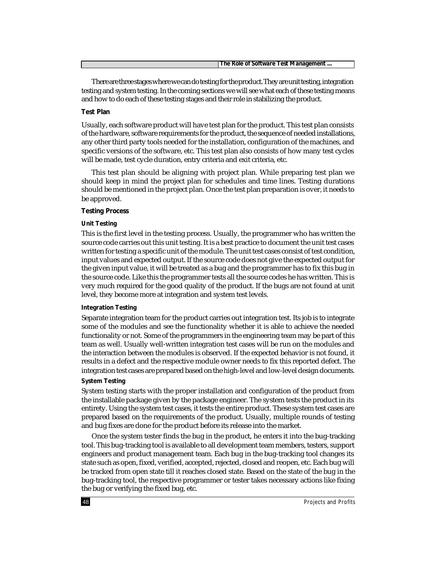| The Role of Software Test Management |
|--------------------------------------|

There are three stages where we can do testing for the product. They are unit testing, integration testing and system testing. In the coming sections we will see what each of these testing means and how to do each of these testing stages and their role in stabilizing the product.

### **Test Plan**

Usually, each software product will have test plan for the product. This test plan consists of the hardware, software requirements for the product, the sequence of needed installations, any other third party tools needed for the installation, configuration of the machines, and specific versions of the software, etc. This test plan also consists of how many test cycles will be made, test cycle duration, entry criteria and exit criteria, etc.

This test plan should be aligning with project plan. While preparing test plan we should keep in mind the project plan for schedules and time lines. Testing durations should be mentioned in the project plan. Once the test plan preparation is over, it needs to be approved.

### **Testing Process**

#### **Unit Testing**

This is the first level in the testing process. Usually, the programmer who has written the source code carries out this unit testing. It is a best practice to document the unit test cases written for testing a specific unit of the module. The unit test cases consist of test condition, input values and expected output. If the source code does not give the expected output for the given input value, it will be treated as a bug and the programmer has to fix this bug in the source code. Like this the programmer tests all the source codes he has written. This is very much required for the good quality of the product. If the bugs are not found at unit level, they become more at integration and system test levels.

#### **Integration Testing**

Separate integration team for the product carries out integration test. Its job is to integrate some of the modules and see the functionality whether it is able to achieve the needed functionality or not. Some of the programmers in the engineering team may be part of this team as well. Usually well-written integration test cases will be run on the modules and the interaction between the modules is observed. If the expected behavior is not found, it results in a defect and the respective module owner needs to fix this reported defect. The integration test cases are prepared based on the high-level and low-level design documents.

#### **System Testing**

System testing starts with the proper installation and configuration of the product from the installable package given by the package engineer. The system tests the product in its entirety. Using the system test cases, it tests the entire product. These system test cases are prepared based on the requirements of the product. Usually, multiple rounds of testing and bug fixes are done for the product before its release into the market.

Once the system tester finds the bug in the product, he enters it into the bug-tracking tool. This bug-tracking tool is available to all development team members, testers, support engineers and product management team. Each bug in the bug-tracking tool changes its state such as open, fixed, verified, accepted, rejected, closed and reopen, etc. Each bug will be tracked from open state till it reaches closed state. Based on the state of the bug in the bug-tracking tool, the respective programmer or tester takes necessary actions like fixing the bug or verifying the fixed bug, etc.